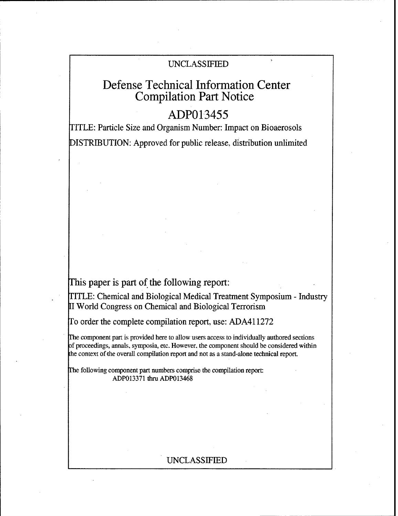# UNCLASSIFIED

# Defense Technical Information Center Compilation Part Notice

# **ADP013455**

TITLE: Particle Size and Organism Number: Impact on Bioaerosols DISTRIBUTION: Approved for public release, distribution unlimited

This paper is part of the following report:

TITLE: Chemical and Biological Medical Treatment Symposium - Industry II World Congress on Chemical and Biological Terrorism

To order the complete compilation report, use: ADA411272

The component part is provided here to allow users access to individually authored sections f proceedings, annals, symposia, etc. However, the component should be considered within the context of-the overall compilation report and not as a stand-alone technical report.

The following component part numbers comprise the compilation report: ADP013371 thru ADP013468

# UNCLASSIFIED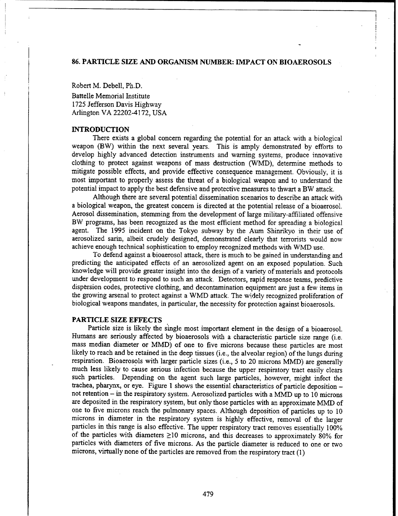## **86.** PARTICLE **SIZE AND ORGANISM NUMBER:** IMPACT **ON** BIOAEROSOLS

Robert M. Debell, Ph.D.

Battelle Memorial Institute 1725 Jefferson Davis Highway Arlington VA 22202-4172, USA

## **INTRODUCTION**

There exists a global concern regarding the potential for an attack with a biological weapon (BW) within the next several years. This is amply demonstrated by efforts to develop highly advanced detection instruments and warning systems, produce innovative clothing to protect against weapons of mass destruction (WMD), determine methods to mitigate possible effects, and provide effective consequence management. Obviously, it is most important to properly assess the threat of a biological weapon and to understand the potential impact to apply the best defensive and protective measures to thwart a BW attack.

Although there are several potential dissemination scenarios to describe an attack with a biological weapon, the greatest concern is directed at the potential release of a bioaerosol. Aerosol dissemination, stemming from the development of large military-affiliated offensive BW programs, has been recognized as the most efficient method for spreading a biological agent. The 1995 incident on the Tokyo subway by the Aum Shinrikyo in their use of aerosolized sarin, albeit crudely designed, demonstrated clearly that terrorists would now achieve enough technical sophistication to employ recognized methods with WMD use.

To defend against a bioaerosol attack, there is much to be gained in understanding and predicting the anticipated effects of an aerosolized agent on an exposed population. Such knowledge will provide greater insight into the design of a variety of materials and protocols under development to respond to such an attack. Detectors, rapid response teams, predictive dispersion codes, protective clothing, and decontamination equipment are just a few items in the growing arsenal to protect against a WMD attack. The widely recognized proliferation of biological weapons mandates, in particular, the necessity for protection against bioaerosols.

## PARTICLE **SIZE EFFECTS**

Particle size is likely the single most important element in the design of a bioaerosol. Humans are seriously affected by bioaerosols with a characteristic particle size range (i.e. mass median diameter or MMD) of one to five microns because these particles are most likely to reach and be retained in the deep tissues (i.e., the alveolar region) of the lungs during respiration. Bioaerosols with larger particle sizes (i.e., 5 to 20 microns MMD) are generally much less likely to cause serious infection because the upper respiratory tract easily clears such particles. Depending on the agent such large particles, however, might infect the trachea, pharynx, or eye. Figure 1 shows the essential characteristics of particle deposition - not retention - in the respiratory system. Aerosolized particles with a MMD up to 10 microns are deposited in the respiratory system, but only those particles with an approximate MMD of one to five microns reach the pulmonary spaces. Although deposition of particles up to 10 microns in diameter in the respiratory system is highly effective, removal of the larger particles in this range is also effective. The upper respiratory tract removes essentially 100% of the particles with diameters  $\geq$ 10 microns, and this decreases to approximately 80% for particles with diameters of five microns. As the particle diameter is reduced to one or two microns, virtually none of the particles are removed from the respiratory tract (1)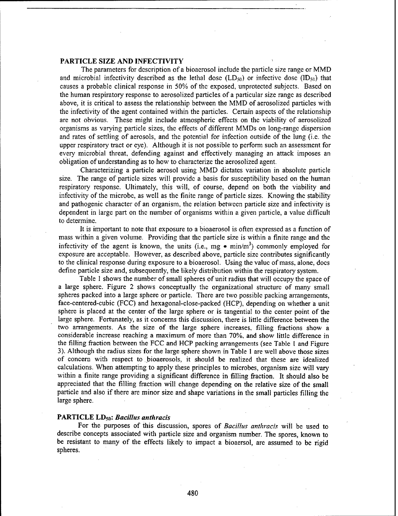# PARTICLE **SIZE AND** INFECTIVITY

The parameters for description of a bioaerosol include the particle size range or MMD and microbial infectivity described as the lethal dose  $(LD_{50})$  or infective dose  $(ID_{50})$  that causes a probable clinical response in 50% of the exposed, unprotected subjects. Based on the human respiratory response to aerosolized particles of a particular size range as described above, it is critical to assess the relationship between the MMD of aerosolized particles with the infectivity of the agent contained within the particles. Certain aspects of the relationship are not obvious. These might include atmospheric effects on the viability of aerosolized organisms as varying particle sizes, the effects of different MMDs on long-range dispersion and rates of settling of aerosols, and the potential for infection outside of the lung (i.e. the upper respiratory tract or eye). Although it is not possible to perform such an assessment for every microbial threat, defending against and effectively managing an attack imposes an obligation of understanding as to how to characterize the aerosolized agent.

Characterizing a particle aerosol using MMD dictates variation in absolute particle size. The range of particle sizes will provide a basis for susceptibility based on the human respiratory response. Ultimately, this will, of course, depend on both the viability and infectivity of the microbe, as well as the finite range of particle sizes. Knowing the stability and pathogenic character of an organism, the relation between particle size and infectivity is dependent in large part on the number of organisms within a given particle, a value difficult to determine.

It is important to note that exposure to a bioaerosol is often expressed as a function of mass within a given volume. Providing that the particle size is within a finite range and the infectivity of the agent is known, the units (i.e.,  $mg \cdot \min/m^3$ ) commonly employed for exposure are acceptable. However, as described above, particle size contributes significantly to the clinical response during exposure to a bioaerosol. Using the value of mass, alone, does define particle size and, subsequently, the likely distribution within the respiratory system.

Table **I** shows the number of small spheres of unit radius that will occupy the space of a large sphere. Figure 2 shows conceptually the organizational structure of many small spheres packed into a large sphere or particle. There are two possible packing arrangements, face-centered-cubic (FCC) and hexagonal-close-packed (HCP), depending on whether a unit sphere is placed at the center of the large sphere or is tangential to the center point of the large sphere. Fortunately, as it concerns this discussion, there is little difference between the two arrangements. As the size of the large sphere increases, filling fractions show a considerable increase reaching a maximum of more than 70%, and show little difference in the filling fraction between the FCC and HCP packing arrangements (see Table I and Figure 3). Although the radius sizes for the large sphere shown in Table **I** are well above those sizes of concern with respect to bioaerosols, it should be realized that these are idealized calculations. When attempting to apply these principles to microbes, organism size will vary within a finite range providing a significant difference in filling fraction. It should also be appreciated that the filling fraction will change depending on the relative size of the small particle and also if there are minor size and shape variations in the small particles filling the large sphere.

#### PARTICLE **LD50:** *Bacillus anthracis*

For the purposes of this discussion, spores of *Bacillus anthracis* will be used to describe concepts associated with particle size and organism number. The spores, known to be resistant to many of the effects likely to impact a bioaersol, are assumed to be rigid spheres.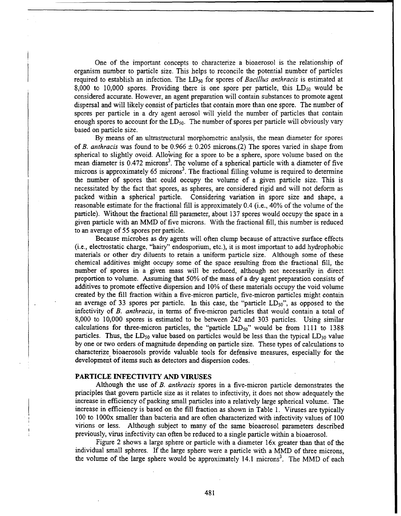One of the important concepts to characterize a bioaerosol is the relationship of organism number to particle size. This helps to reconcile the potential number of particles required to establish an infection. The **LD50** for spores of *Bacillus anthracis* is estimated at 8,000 to 10,000 spores. Providing there is one spore per particle, this  $LD_{50}$  would be considered accurate. However, an agent preparation will contain substances to promote agent dispersal and will likely consist of particles that contain more than one spore. The number of spores per particle in a dry agent aerosol will yield the number of particles that contain enough spores to account for the  $LD_{50}$ . The number of spores per particle will obviously vary based on particle size.

By means of an ultrastructural morphometric analysis, the mean diameter for spores of B. *anthracis* was found to be 0.966 **±** 0.205 microns.(2) The spores varied in shape from spherical to slightly ovoid. Allowing for a spore to be a sphere, spore volume based on the mean diameter is  $0.472$  microns<sup>3</sup>. The volume of a spherical particle with a diameter of five microns is approximately 65 microns<sup>3</sup>. The fractional filling volume is required to determine the number of spores that could occupy the volume of a given particle size. This is necessitated by the fact that spores, as spheres, are considered rigid and will not deform as packed within a spherical particle. Considering variation in spore size and shape, a reasonable estimate for the fractional fill is approximately 0.4 (i.e., 40% of the volume of the particle). Without the fractional fill parameter, about 137 spores would occupy the space in a given particle with an MMD of five microns. With the fractional fill, this number is reduced to an average of 55 spores per particle.

Because microbes as dry agents will often clump because of attractive surface effects (i.e., electrostatic charge, "hairy" endosporium, etc.), it is most important to add hydrophobic materials or other dry diluents to retain a uniform particle size. Although some of these chemical additives might occupy some of the space resulting from the fractional fill, the number of spores in a given mass will be reduced, although not necessarily in direct proportion to volume. Assuming that 50% of the mass of a dry agent preparation consists of additives to promote effective dispersion and 10% of these materials occupy the void volume created by the fill fraction within a five-micron particle, five-micron particles might contain an average of 33 spores per particle. In this case, the "particle  $LD_{50}$ ", as opposed to the infectivity of *B. anthracis,* in terms of five-micron particles that would contain a total of 8,000 to 10,000 spores is estimated to be between 242 and 303 particles. Using similar calculations for three-micron particles, the "particle  $LD_{50}$ " would be from 1111 to 1388 particles. Thus, the  $LD_{50}$  value based on particles would be less than the typical  $LD_{50}$  value by one or two orders of magnitude depending on particle size. These types of calculations to characterize bioaerosols provide valuable tools for defensive measures, especially for the development of items such as detectors and dispersion codes.

## PARTICLE INFECTIVITY **AND VIRUSES**

Although the use of *B. anthracis* spores in a five-micron particle demonstrates the principles that govern particle size as it relates to infectivity, it does not show adequately the increase in efficiency of packing small particles into a relatively large spherical volume. The increase in efficiency is based on the fill fraction as shown in Table 1. Viruses are typically 100 to 1000x smaller than bacteria and are often characterized with infectivity values of 100 virions or less. Although subject to many of the same bioaerosol parameters described previously, virus infectivity can often be reduced to a single particle within a bioaerosol.

Figure 2 shows a large sphere or particle with a diameter 16x greater than that of the individual small spheres. If the large sphere were a particle with a MMD of three microns, the volume of the large sphere would be approximately 14.1 microns<sup>3</sup>. The MMD of each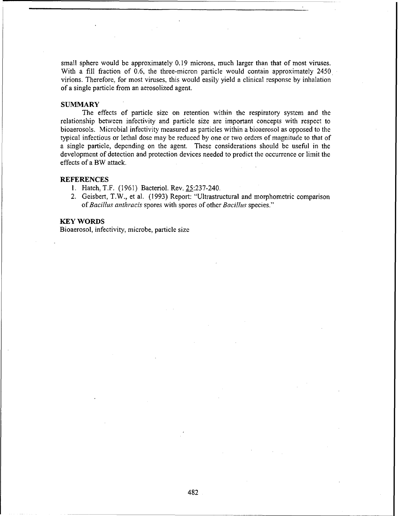small sphere would be approximately 0.19 microns, much larger than that of most viruses. With a fill fraction of 0.6, the three-micron particle would contain approximately 2450 virions. Therefore, for most viruses, this would easily yield a clinical response by inhalation of a single particle from an aerosolized agent.

# **SUMMARY**

The effects of particle sizc on retention within the respiratory system and the relationship between infectivity and particle size are important concepts with respect to bioaerosols. Microbial infectivity measured as particles within a bioaerosol as opposed to the typical infectious or lethal dose may be reduced by one or two orders of magnitude to that of a single particle, depending on the agent. These considerations should be useful in the development of detection and protection devices needed to predict the occurrence or limit the effects of a BW attack.

## **REFERENCES**

- **1.** Hatch, T.F. (1961) Bacteriol. Rev. 25:237-240.
- 2. Geisbert, T.W., et al. (1993) Report: "Ultrastructural and morphometric comparison *of Bacillus anthracis* spores with spores of other *Bacillus* species."

#### KEY WORDS

Bioaerosol, infectivity, microbe, particle size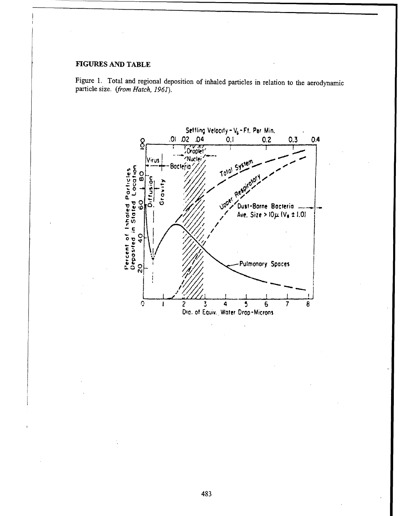# **FIGURES AND** TABLE

Figure 1. Total and regional deposition of inhaled particles in relation to the aerodynamic particle size. *(from Hatch, 1961).*

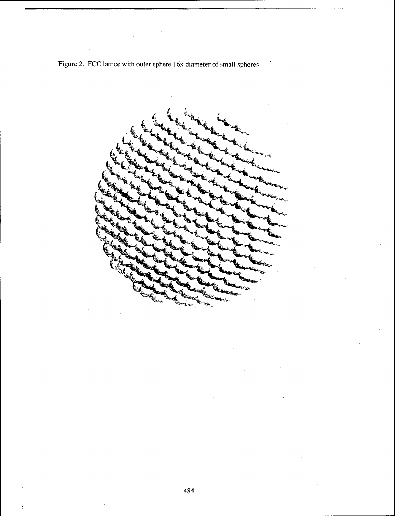

Figure 2. FCC lattice with outer sphere 16x diameter of small spheres